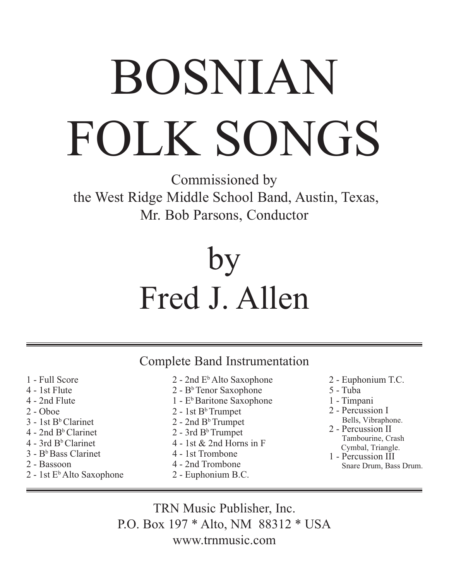# BOSNIAN FOLK SONGS

Commissioned by the West Ridge Middle School Band, Austin, Texas, Mr. Bob Parsons, Conductor

## by Fred J. Allen

| <b>Complete Band Instrumentation</b>     |                                   |                        |  |  |  |  |  |  |  |
|------------------------------------------|-----------------------------------|------------------------|--|--|--|--|--|--|--|
| 1 - Full Score                           | $2$ - 2nd $Eb$ Alto Saxophone     | 2 - Euphonium T.C.     |  |  |  |  |  |  |  |
| $4 - 1$ st Flute                         | $2 - Bb$ Tenor Saxophone          | 5 - Tuba               |  |  |  |  |  |  |  |
| $4 - 2nd$ Flute                          | $1 - Eb$ Baritone Saxophone       | 1 - Timpani            |  |  |  |  |  |  |  |
| $2 - Oboe$                               | $2 - 1$ st B <sup>b</sup> Trumpet | 2 - Percussion I       |  |  |  |  |  |  |  |
| $3 - 1$ st B <sup>b</sup> Clarinet       | $2 - 2nd Bb Trumpet$              | Bells, Vibraphone.     |  |  |  |  |  |  |  |
| $4 - 2nd Bb$ Clarinet                    | $2 - 3$ rd B <sup>b</sup> Trumpet | 2 - Percussion II      |  |  |  |  |  |  |  |
| $4 - 3$ rd B <sup>b</sup> Clarinet       | $4 - 1$ st & 2nd Horns in F       | Tambourine, Crash      |  |  |  |  |  |  |  |
| $3 - Bb$ Bass Clarinet                   | 4 - 1st Trombone                  | Cymbal, Triangle.      |  |  |  |  |  |  |  |
| 2 - Bassoon                              | 4 - 2nd Trombone                  | 1 - Percussion III     |  |  |  |  |  |  |  |
| $2 - 1$ st E <sup>b</sup> Alto Saxophone | 2 - Euphonium B.C.                | Snare Drum, Bass Drum. |  |  |  |  |  |  |  |

TRN Music Publisher, Inc. P.O. Box 197 \* Alto, NM 88312 \* USA www.trnmusic.com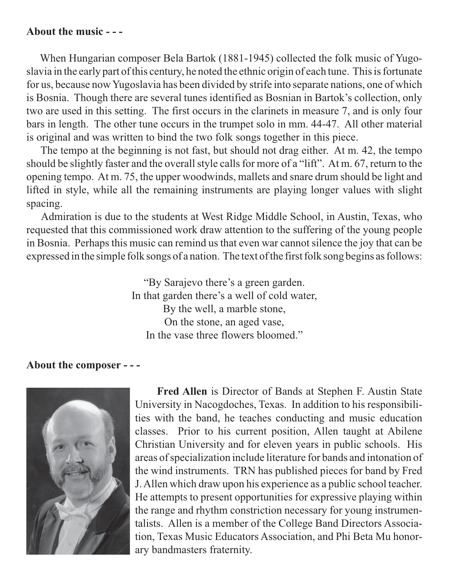#### **About the music - - -**

When Hungarian composer Bela Bartok (1881-1945) collected the folk music of Yugoslavia in the early part of this century, he noted the ethnic origin of each tune. This is fortunate for us, because now Yugoslavia has been divided by strife into separate nations, one of which is Bosnia. Though there are several tunes identified as Bosnian in Bartok's collection, only two are used in this setting. The first occurs in the clarinets in measure 7, and is only four bars in length. The other tune occurs in the trumpet solo in mm. 44-47. All other material is original and was written to bind the two folk songs together in this piece.

 The tempo at the beginning is not fast, but should not drag either. At m. 42, the tempo should be slightly faster and the overall style calls for more of a "lift". At m. 67, return to the opening tempo. At m. 75, the upper woodwinds, mallets and snare drum should be light and lifted in style, while all the remaining instruments are playing longer values with slight spacing.

 Admiration is due to the students at West Ridge Middle School, in Austin, Texas, who requested that this commissioned work draw attention to the suffering of the young people in Bosnia. Perhaps this music can remind us that even war cannot silence the joy that can be expressed in the simple folk songs of a nation. The text of the first folk song begins as follows:

> "By Sarajevo there's a green garden. In that garden there's a well of cold water, By the well, a marble stone, On the stone, an aged vase, In the vase three flowers bloomed."

#### **About the composer - - -**



 **Fred Allen** is Director of Bands at Stephen F. Austin State University in Nacogdoches, Texas. In addition to his responsibilities with the band, he teaches conducting and music education classes. Prior to his current position, Allen taught at Abilene Christian University and for eleven years in public schools. His areas of specialization include literature for bands and intonation of the wind instruments. TRN has published pieces for band by Fred J. Allen which draw upon his experience as a public school teacher. He attempts to present opportunities for expressive playing within the range and rhythm constriction necessary for young instrumentalists. Allen is a member of the College Band Directors Association, Texas Music Educators Association, and Phi Beta Mu honorary bandmasters fraternity.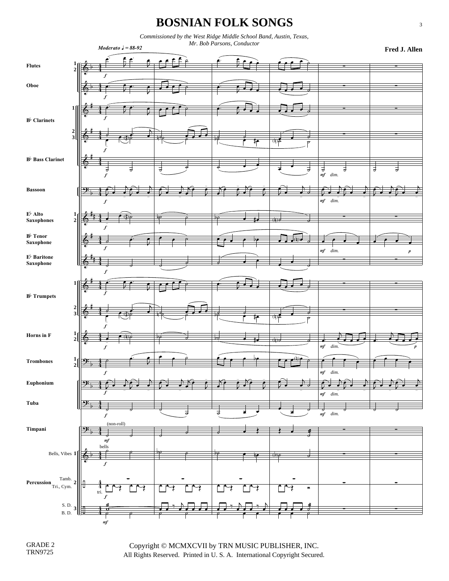### **BOSNIAN FOLK SONGS**

*Commissioned by the West Ridge Middle School Band, Austin, Texas,*

| $\overline{\phantom{a}}$<br>$\circ$<br>$\overline{\phantom{a}}$<br>Mr. Bob Parsons, Conductor<br>Moderato $J = 88-92$<br>Fred J. Allen |                     |                          |              |  |     |   |                |                    |                             |                                                      |     |                  |
|----------------------------------------------------------------------------------------------------------------------------------------|---------------------|--------------------------|--------------|--|-----|---|----------------|--------------------|-----------------------------|------------------------------------------------------|-----|------------------|
|                                                                                                                                        |                     |                          |              |  |     |   |                |                    |                             |                                                      |     |                  |
| <b>Flutes</b>                                                                                                                          | 1<br>$\overline{2}$ |                          |              |  |     |   |                |                    |                             |                                                      |     |                  |
|                                                                                                                                        |                     | f                        |              |  |     |   |                |                    |                             |                                                      |     |                  |
| Oboe                                                                                                                                   |                     |                          |              |  |     |   |                |                    |                             |                                                      |     |                  |
|                                                                                                                                        |                     |                          |              |  |     |   |                |                    |                             |                                                      |     |                  |
|                                                                                                                                        | 1 <sup>1</sup>      |                          |              |  |     |   |                |                    |                             |                                                      |     |                  |
| $\mathbf{B}^\flat$ Clarinets                                                                                                           |                     |                          |              |  |     |   |                |                    |                             |                                                      |     |                  |
|                                                                                                                                        |                     |                          |              |  |     |   |                |                    |                             |                                                      |     |                  |
|                                                                                                                                        | $\frac{2}{3}$       |                          |              |  |     |   |                | $\blacksquare$     | क≹                          |                                                      |     |                  |
|                                                                                                                                        |                     |                          |              |  |     |   |                |                    | $\overline{\sigma}$         |                                                      |     |                  |
| $\mathbf{B}^\flat$ Bass Clarinet                                                                                                       |                     |                          |              |  |     |   |                |                    |                             |                                                      |     |                  |
|                                                                                                                                        |                     | ⊕<br>∙<br>ヺ              | 才            |  | す   |   |                |                    | F                           | $\overrightarrow{\overrightarrow{\sigma}}$ dim.<br>₹ | र्च | ま                |
|                                                                                                                                        |                     | f                        |              |  |     |   |                |                    |                             |                                                      |     |                  |
| <b>Bassoon</b>                                                                                                                         |                     |                          |              |  |     |   |                |                    |                             |                                                      |     |                  |
|                                                                                                                                        |                     | $\boldsymbol{f}$         |              |  |     |   |                |                    |                             | $m f$ dim.                                           |     |                  |
|                                                                                                                                        |                     |                          |              |  |     |   |                |                    |                             |                                                      |     |                  |
| $\mathbf{E}^\flat$ Alto<br>Saxophones                                                                                                  | $\frac{1}{2}$       |                          |              |  |     |   |                |                    | $\bigoplus$                 |                                                      |     |                  |
|                                                                                                                                        |                     |                          |              |  |     |   |                |                    |                             |                                                      |     |                  |
| $\mathbf{B}^\flat$ Tenor                                                                                                               |                     |                          |              |  |     |   |                |                    |                             |                                                      |     |                  |
| Saxophone                                                                                                                              |                     | f                        |              |  |     |   |                |                    |                             | $m\!f$ $\>$ $\>dim.$                                 |     |                  |
| $\mathbf{E}^\flat$ Baritone                                                                                                            |                     |                          |              |  |     |   |                |                    |                             |                                                      |     | $\pmb{p}$        |
| Saxophone                                                                                                                              |                     |                          |              |  |     |   |                |                    |                             |                                                      |     |                  |
|                                                                                                                                        |                     | $\boldsymbol{f}$         |              |  |     |   |                |                    |                             |                                                      |     |                  |
|                                                                                                                                        | 1 <sup>1</sup>      |                          |              |  |     |   |                |                    |                             |                                                      |     |                  |
| $\mathbf{B}^\flat$ Trumpets                                                                                                            |                     |                          |              |  |     |   |                |                    |                             |                                                      |     |                  |
|                                                                                                                                        |                     |                          |              |  |     |   |                |                    |                             |                                                      |     |                  |
|                                                                                                                                        | $\frac{2}{3}$       |                          |              |  |     |   |                | $\ddot{\parallel}$ | $\phi$<br>$\overline{\rho}$ |                                                      |     |                  |
|                                                                                                                                        |                     |                          |              |  |     |   |                |                    |                             |                                                      |     |                  |
| Horns in F                                                                                                                             | $\frac{1}{2}$       |                          | $-$ (h)      |  | -be |   | $\overline{p}$ |                    | $(h)$ a                     |                                                      | 구   |                  |
|                                                                                                                                        |                     | $\bullet$<br>f           |              |  |     |   |                |                    |                             | $m f$ dim.                                           |     | $\boldsymbol{p}$ |
|                                                                                                                                        |                     |                          |              |  |     |   |                |                    |                             |                                                      |     |                  |
| <b>Trombones</b>                                                                                                                       | $\frac{1}{2}$       | <u>9:</u>                |              |  |     |   |                |                    |                             |                                                      |     |                  |
|                                                                                                                                        |                     | $\boldsymbol{f}$         |              |  |     |   |                |                    |                             | $m\!f$ $\>$ $\>dim.$                                 |     |                  |
| $E$ uphonium                                                                                                                           |                     | <u>. .</u>               |              |  |     |   |                |                    |                             |                                                      |     |                  |
|                                                                                                                                        |                     |                          |              |  |     |   |                |                    |                             | $m\!f$ $\>$ $\>dim.$                                 |     |                  |
| Tuba                                                                                                                                   |                     |                          |              |  |     |   |                |                    |                             |                                                      |     |                  |
|                                                                                                                                        |                     | $\boldsymbol{f}$         |              |  |     | ヺ | す              | 날                  |                             | $\frac{\partial}{\partial n}$ dim.                   |     |                  |
| Timpani                                                                                                                                |                     |                          | $(non-roll)$ |  |     |   |                |                    |                             |                                                      |     |                  |
|                                                                                                                                        |                     |                          |              |  |     |   |                |                    |                             |                                                      |     |                  |
|                                                                                                                                        |                     | $\it mf$<br>$be$ lls     |              |  |     |   |                |                    |                             |                                                      |     |                  |
| Bells, Vibes 1                                                                                                                         |                     |                          |              |  |     |   |                |                    | $\Theta$ ) $\rho$<br>ᢦ      |                                                      |     |                  |
|                                                                                                                                        |                     | $\boldsymbol{f}$         |              |  |     |   |                |                    |                             |                                                      |     |                  |
|                                                                                                                                        |                     |                          |              |  |     |   |                |                    |                             |                                                      |     |                  |
| Tamb.<br><b>Percussion</b> Tri., Cym.                                                                                                  | $\mathbf{2}$        | ╂<br>4                   |              |  |     |   |                | ₹                  | $\blacksquare$              |                                                      |     |                  |
|                                                                                                                                        |                     | tri.<br>$\boldsymbol{f}$ |              |  |     |   |                |                    |                             |                                                      |     |                  |
| S. D.                                                                                                                                  |                     |                          |              |  |     |   |                |                    |                             |                                                      |     |                  |
| B. D.                                                                                                                                  | 3                   | o                        |              |  |     |   |                |                    |                             |                                                      |     |                  |
|                                                                                                                                        |                     | $\it mf$                 |              |  |     |   |                |                    |                             |                                                      |     |                  |



Copyright © MCMXCVII by TRN MUSIC PUBLISHER, INC. All Rights Reserved. Printed in U. S. A. International Copyright Secured.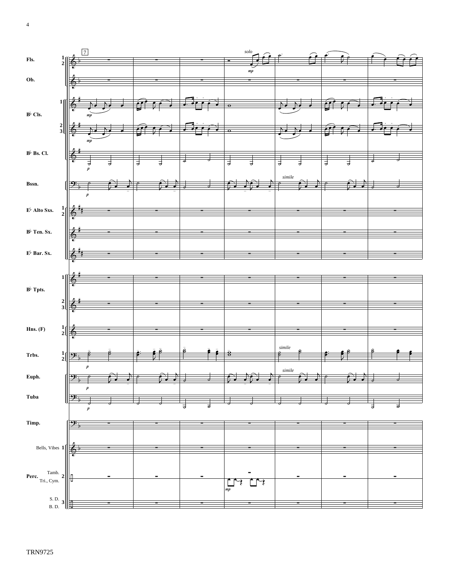

TRN9725